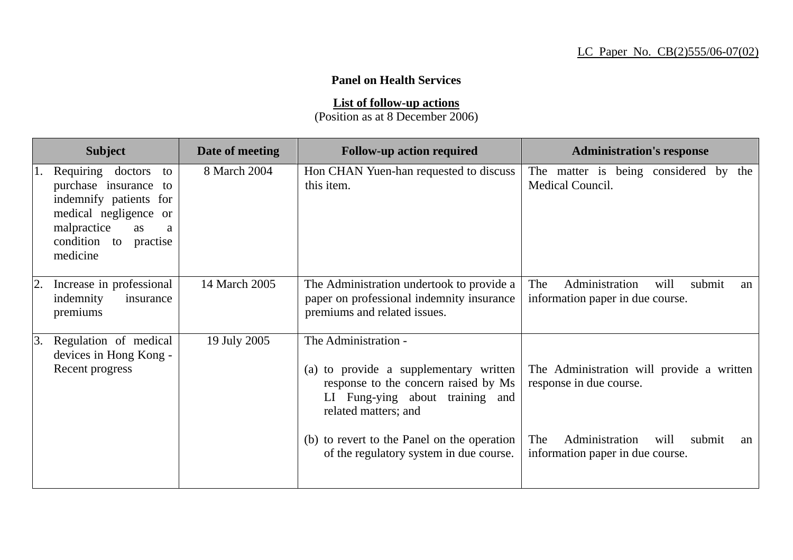## **Panel on Health Services**

**List of follow-up actions** (Position as at 8 December 2006)

| <b>Subject</b>                                                                                                                                                           | Date of meeting | <b>Follow-up action required</b>                                                                                                                                  | <b>Administration's response</b>                                                  |
|--------------------------------------------------------------------------------------------------------------------------------------------------------------------------|-----------------|-------------------------------------------------------------------------------------------------------------------------------------------------------------------|-----------------------------------------------------------------------------------|
| Requiring doctors<br>to<br>purchase insurance<br>to<br>indemnify patients for<br>medical negligence or<br>malpractice<br>as<br>a<br>condition to<br>practise<br>medicine | 8 March 2004    | Hon CHAN Yuen-han requested to discuss<br>this item.                                                                                                              | The matter is being considered by the<br>Medical Council.                         |
| Increase in professional<br>$\overline{2}$ .<br>indemnity<br>insurance<br>premiums                                                                                       | 14 March 2005   | The Administration undertook to provide a<br>paper on professional indemnity insurance<br>premiums and related issues.                                            | Administration<br>will<br>submit<br>The<br>an<br>information paper in due course. |
| 3.<br>Regulation of medical<br>devices in Hong Kong -<br>Recent progress                                                                                                 | 19 July 2005    | The Administration -<br>(a) to provide a supplementary written<br>response to the concern raised by Ms<br>LI Fung-ying about training and<br>related matters; and | The Administration will provide a written<br>response in due course.              |
|                                                                                                                                                                          |                 | (b) to revert to the Panel on the operation<br>of the regulatory system in due course.                                                                            | Administration<br>will<br>The<br>submit<br>an<br>information paper in due course. |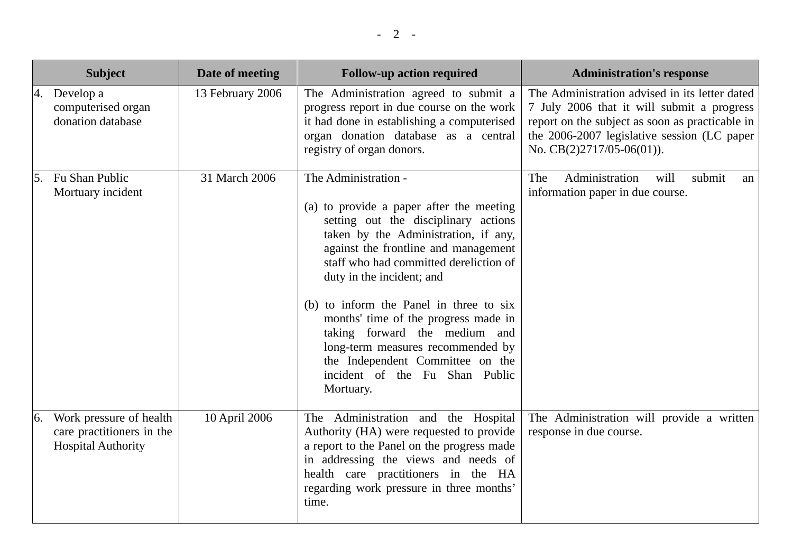|    | <b>Subject</b>                                                                    | Date of meeting  | <b>Follow-up action required</b>                                                                                                                                                                                                                                                                                                                                                                                                                                                                            | <b>Administration's response</b>                                                                                                                                                                                              |
|----|-----------------------------------------------------------------------------------|------------------|-------------------------------------------------------------------------------------------------------------------------------------------------------------------------------------------------------------------------------------------------------------------------------------------------------------------------------------------------------------------------------------------------------------------------------------------------------------------------------------------------------------|-------------------------------------------------------------------------------------------------------------------------------------------------------------------------------------------------------------------------------|
| 4. | Develop a<br>computerised organ<br>donation database                              | 13 February 2006 | The Administration agreed to submit a<br>progress report in due course on the work<br>it had done in establishing a computerised<br>organ donation database as a central<br>registry of organ donors.                                                                                                                                                                                                                                                                                                       | The Administration advised in its letter dated<br>7 July 2006 that it will submit a progress<br>report on the subject as soon as practicable in<br>the 2006-2007 legislative session (LC paper<br>No. $CB(2)2717/05-06(01)$ . |
|    | 5. Fu Shan Public<br>Mortuary incident                                            | 31 March 2006    | The Administration -<br>(a) to provide a paper after the meeting<br>setting out the disciplinary actions<br>taken by the Administration, if any,<br>against the frontline and management<br>staff who had committed dereliction of<br>duty in the incident; and<br>(b) to inform the Panel in three to six<br>months' time of the progress made in<br>taking forward the medium and<br>long-term measures recommended by<br>the Independent Committee on the<br>incident of the Fu Shan Public<br>Mortuary. | Administration<br>submit<br>The<br>will<br>an<br>information paper in due course.                                                                                                                                             |
| 6. | Work pressure of health<br>care practitioners in the<br><b>Hospital Authority</b> | 10 April 2006    | The Administration and the Hospital<br>Authority (HA) were requested to provide<br>a report to the Panel on the progress made<br>in addressing the views and needs of<br>health care practitioners in the HA<br>regarding work pressure in three months'<br>time.                                                                                                                                                                                                                                           | The Administration will provide a written<br>response in due course.                                                                                                                                                          |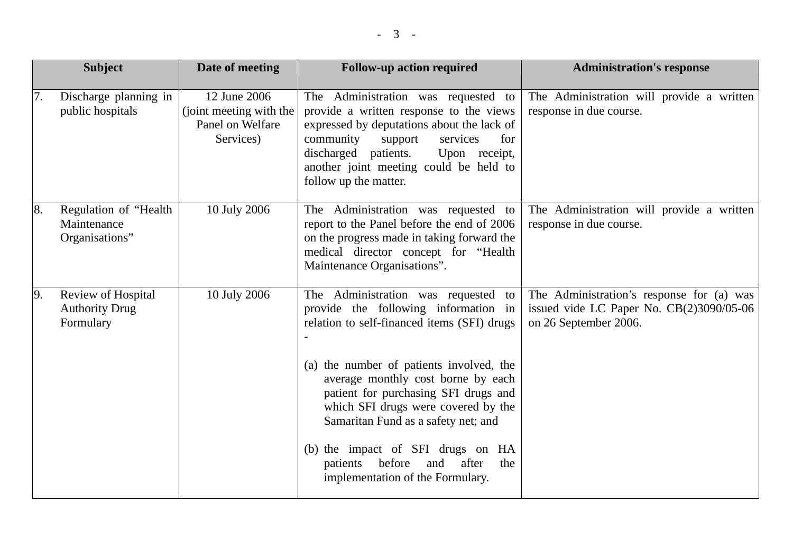| <b>Subject</b>                                                 | Date of meeting                                                          | <b>Follow-up action required</b>                                                                                                                                                                                                                                                                                                                                                                                                                         | <b>Administration's response</b>                                                                                 |
|----------------------------------------------------------------|--------------------------------------------------------------------------|----------------------------------------------------------------------------------------------------------------------------------------------------------------------------------------------------------------------------------------------------------------------------------------------------------------------------------------------------------------------------------------------------------------------------------------------------------|------------------------------------------------------------------------------------------------------------------|
| Discharge planning in<br>7.<br>public hospitals                | 12 June 2006<br>(joint meeting with the<br>Panel on Welfare<br>Services) | The Administration was requested to<br>provide a written response to the views<br>expressed by deputations about the lack of<br>community<br>services<br>support<br>for<br>discharged patients.<br>Upon receipt,<br>another joint meeting could be held to<br>follow up the matter.                                                                                                                                                                      | The Administration will provide a written<br>response in due course.                                             |
| Regulation of "Health<br>8.<br>Maintenance<br>Organisations"   | 10 July 2006                                                             | The Administration was requested to<br>report to the Panel before the end of 2006<br>on the progress made in taking forward the<br>medical director concept for "Health<br>Maintenance Organisations".                                                                                                                                                                                                                                                   | The Administration will provide a written<br>response in due course.                                             |
| Review of Hospital<br>9.<br><b>Authority Drug</b><br>Formulary | 10 July 2006                                                             | The Administration was requested to<br>provide the following information in<br>relation to self-financed items (SFI) drugs<br>(a) the number of patients involved, the<br>average monthly cost borne by each<br>patient for purchasing SFI drugs and<br>which SFI drugs were covered by the<br>Samaritan Fund as a safety net; and<br>(b) the impact of SFI drugs on HA<br>before<br>and<br>after<br>the<br>patients<br>implementation of the Formulary. | The Administration's response for (a) was<br>issued vide LC Paper No. $CB(2)3090/05-06$<br>on 26 September 2006. |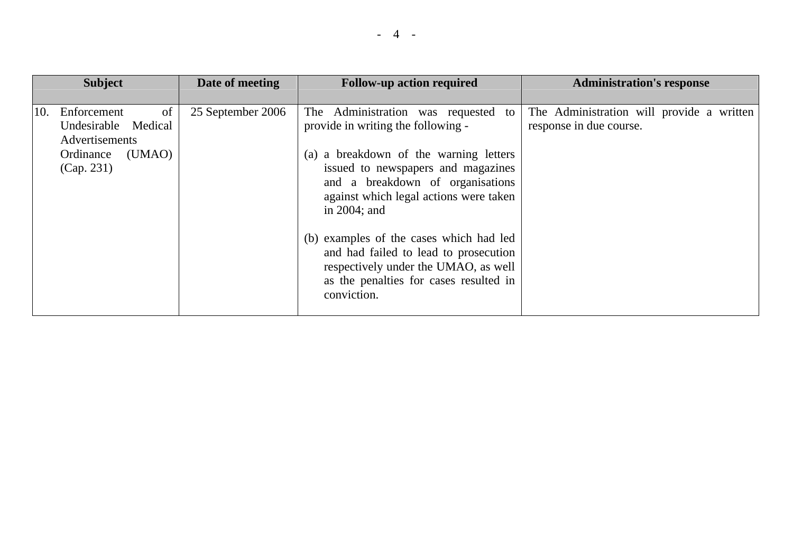|     | <b>Subject</b>                                                                                  | Date of meeting   | <b>Follow-up action required</b>                                                                                                                                                                                                                                                                                                               | <b>Administration's response</b>                                     |
|-----|-------------------------------------------------------------------------------------------------|-------------------|------------------------------------------------------------------------------------------------------------------------------------------------------------------------------------------------------------------------------------------------------------------------------------------------------------------------------------------------|----------------------------------------------------------------------|
| 10. | Enforcement<br>of<br>Undesirable Medical<br>Advertisements<br>(UMAO)<br>Ordinance<br>(Cap. 231) | 25 September 2006 | The Administration was requested to<br>provide in writing the following -<br>(a) a breakdown of the warning letters<br>issued to newspapers and magazines<br>and a breakdown of organisations<br>against which legal actions were taken<br>in $2004$ ; and<br>(b) examples of the cases which had led<br>and had failed to lead to prosecution | The Administration will provide a written<br>response in due course. |
|     |                                                                                                 |                   | respectively under the UMAO, as well<br>as the penalties for cases resulted in<br>conviction.                                                                                                                                                                                                                                                  |                                                                      |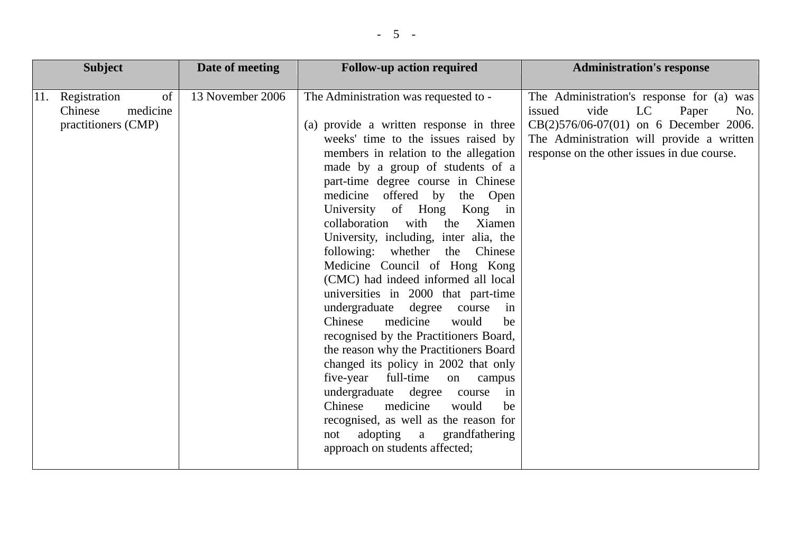| <b>Subject</b>                                                          | Date of meeting  | <b>Follow-up action required</b>                                                                                                                                                                                                                                                                                                                                                                                                                                                                                                                                                                                                                                                                                                                                                                                                                                                                                                                                                                           | <b>Administration's response</b>                                                                                                                                                                                          |
|-------------------------------------------------------------------------|------------------|------------------------------------------------------------------------------------------------------------------------------------------------------------------------------------------------------------------------------------------------------------------------------------------------------------------------------------------------------------------------------------------------------------------------------------------------------------------------------------------------------------------------------------------------------------------------------------------------------------------------------------------------------------------------------------------------------------------------------------------------------------------------------------------------------------------------------------------------------------------------------------------------------------------------------------------------------------------------------------------------------------|---------------------------------------------------------------------------------------------------------------------------------------------------------------------------------------------------------------------------|
| of<br>Registration<br>11.<br>medicine<br>Chinese<br>practitioners (CMP) | 13 November 2006 | The Administration was requested to -<br>(a) provide a written response in three<br>weeks' time to the issues raised by<br>members in relation to the allegation<br>made by a group of students of a<br>part-time degree course in Chinese<br>medicine offered by<br>the Open<br>University of Hong<br>Kong in<br>collaboration<br>with<br>the<br>Xiamen<br>University, including, inter alia, the<br>following: whether the Chinese<br>Medicine Council of Hong Kong<br>(CMC) had indeed informed all local<br>universities in 2000 that part-time<br>undergraduate<br>degree<br>course<br>in<br>Chinese<br>medicine<br>would<br>be<br>recognised by the Practitioners Board,<br>the reason why the Practitioners Board<br>changed its policy in 2002 that only<br>full-time<br>five-year<br>on<br>campus<br>undergraduate degree<br>course<br>in<br>medicine<br>Chinese<br>would<br>be<br>recognised, as well as the reason for<br>adopting a<br>grandfathering<br>not<br>approach on students affected; | The Administration's response for (a) was<br>issued<br>vide<br>LC<br>Paper<br>No.<br>$CB(2)576/06-07(01)$ on 6 December 2006.<br>The Administration will provide a written<br>response on the other issues in due course. |